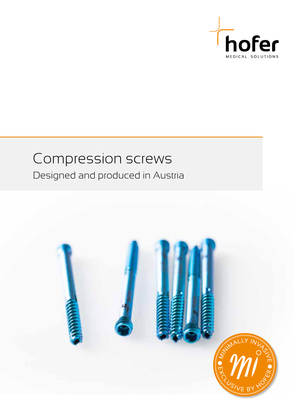

### Compression screws Designed and produced in Austria

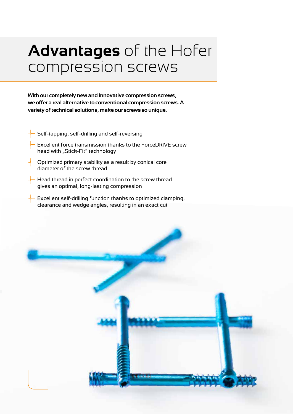# **Advantages** of the Hofer compression screws

**With our completely new and innovative compression screws, we offer a real alternative to conventional compression screws. A variety of technical solutions, make our screws so unique.**

- Self-tapping, self-drilling and self-reversing
- Excellent force transmission thanks to the ForceDRIVE screw head with "Stick-Fit" technology
- Optimized primary stability as a result by conical core diameter of the screw thread
- Head thread in perfect coordination to the screw thread gives an optimal, long-lasting compression
- Excellent self-drilling function thanks to optimized clamping, clearance and wedge angles, resulting in an exact cut

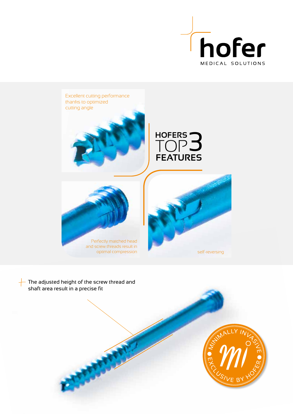



 $\overline{\phantom{a}}$  The adjusted height of the screw thread and shaft area result in a precise fit